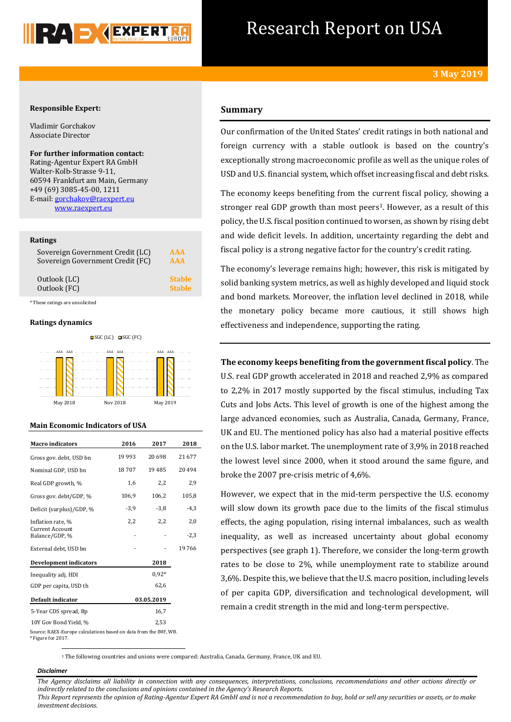

# Research Report on USA

# **Responsible Expert:**

Vladimir Gorchakov Associate Director

**For further information contact:** Rating-Agentur Expert RA GmbH Walter-Kolb-Strasse 9-11, 60594 Frankfurt am Main, Germany +49 (69) 3085-45-00, 1211 E-mail[: gorchakov@raexpert.eu](mailto:gorchakov@raexpert.eu) [www.raexpert.eu](http://raexpert.eu/)

#### **Ratings**

| Sovereign Government Credit (LC) | AAA           |
|----------------------------------|---------------|
| Sovereign Government Credit (FC) | <b>AAA</b>    |
| Outlook (LC)                     | <b>Stable</b> |
| Outlook (FC)                     | <b>Stable</b> |

\* These ratings are unsolicited

## **Ratings dynamics**



#### **Main Economic Indicators of USA**

| <b>Macro indicators</b>                                          | 2016    | 2017       | 2018   |
|------------------------------------------------------------------|---------|------------|--------|
| Gross gov. debt, USD bn                                          | 19 9 93 | 20 698     | 21 677 |
| Nominal GDP, USD bn                                              | 18707   | 19 4 85    | 20494  |
| Real GDP growth, %                                               | 1,6     | 2,2        | 2,9    |
| Gross gov. debt/GDP, %                                           | 106,9   | 106,2      | 105,8  |
| Deficit (surplus)/GDP, %                                         | $-3,9$  | $-3.8$     | $-4,3$ |
| Inflation rate, %                                                | 2,2     | 2,2        | 2,0    |
| <b>Current Account</b><br>Balance/GDP, %                         |         |            | $-2,3$ |
| External debt, USD bn                                            |         |            | 19766  |
| <b>Development indicators</b>                                    |         | 2018       |        |
| Inequality adj. HDI                                              |         | $0.92*$    |        |
| GDP per capita, USD th                                           |         | 62,6       |        |
| Default indicator                                                |         | 03.05.2019 |        |
| 5-Year CDS spread, Bp                                            |         | 16,7       |        |
| 10Y Gov Bond Yield, %                                            |         | 2,53       |        |
| Source: RAEX-Europe calculations based on data from the IMF, WB. |         |            |        |

<sup>\*</sup> Figure for 2017. **.** 

# **Summary**

Our confirmation of the United States' credit ratings in both national and foreign currency with a stable outlook is based on the country's exceptionally strong macroeconomic profile as well as the unique roles of USD and U.S. financial system, which offset increasing fiscal and debt risks.

The economy keeps benefiting from the current fiscal policy, showing a stronger real GDP growth than most peers<sup>1</sup>. However, as a result of this policy, the U.S. fiscal position continued to worsen, as shown by rising debt and wide deficit levels. In addition, uncertainty regarding the debt and fiscal policy is a strong negative factor for the country's credit rating.

The economy's leverage remains high; however, this risk is mitigated by solid banking system metrics, as well as highly developed and liquid stock and bond markets. Moreover, the inflation level declined in 2018, while the monetary policy became more cautious, it still shows high effectiveness and independence, supporting the rating.

**The economy keeps benefiting from the government fiscal policy**. The U.S. real GDP growth accelerated in 2018 and reached 2,9% as compared to 2,2% in 2017 mostly supported by the fiscal stimulus, including Tax Cuts and Jobs Acts. This level of growth is one of the highest among the large advanced economies, such as Australia, Canada, Germany, France, UK and EU. The mentioned policy has also had a material positive effects on the U.S. labor market. The unemployment rate of 3,9% in 2018 reached the lowest level since 2000, when it stood around the same figure, and broke the 2007 pre-crisis metric of 4,6%.

However, we expect that in the mid-term perspective the U.S. economy will slow down its growth pace due to the limits of the fiscal stimulus effects, the aging population, rising internal imbalances, such as wealth inequality, as well as increased uncertainty about global economy perspectives (see graph 1). Therefore, we consider the long-term growth rates to be close to 2%, while unemployment rate to stabilize around 3,6%. Despite this, we believe that the U.S. macro position, including levels of per capita GDP, diversification and technological development, will remain a credit strength in the mid and long-term perspective.

<sup>1</sup> The following countries and unions were compared: Australia, Canada, Germany, France, UK and EU.

## *Disclaimer*

*The Agency disclaims all liability in connection with any consequences, interpretations, conclusions, recommendations and other actions directly or indirectly related to the conclusions and opinions contained in the Agency's Research Reports.*

*This Report represents the opinion of Rating-Agentur Expert RA GmbH and is not a recommendation to buy, hold or sell any securities or assets, or to make investment decisions.*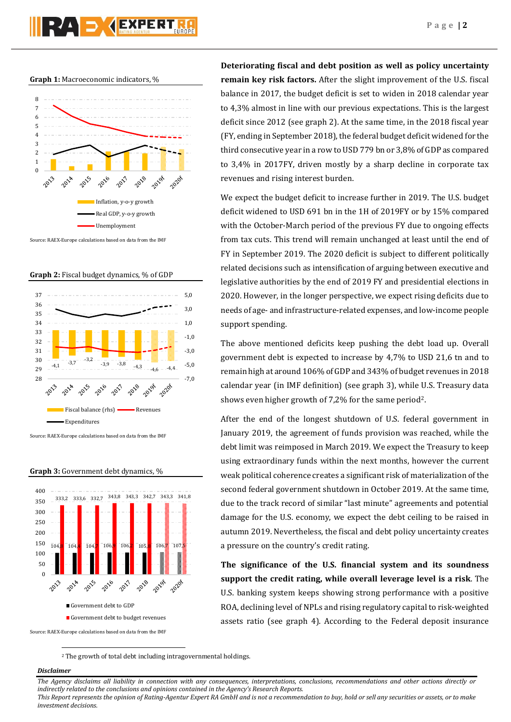**Graph 1:** Macroeconomic indicators, %



Source: RAEX-Europe calculations based on data from the IMF

**Graph 2:** Fiscal budget dynamics, % of GDP



Source: RAEX-Europe calculations based on data from the IMF



**Graph 3:** Government debt dynamics, %

**Deteriorating fiscal and debt position as well as policy uncertainty remain key risk factors.** After the slight improvement of the U.S. fiscal balance in 2017, the budget deficit is set to widen in 2018 calendar year to 4,3% almost in line with our previous expectations. This is the largest deficit since 2012 (see graph 2). At the same time, in the 2018 fiscal year (FY, ending in September 2018), the federal budget deficit widened for the third consecutive year in a row to USD 779 bn or 3,8% of GDP as compared to 3,4% in 2017FY, driven mostly by a sharp decline in corporate tax revenues and rising interest burden.

We expect the budget deficit to increase further in 2019. The U.S. budget deficit widened to USD 691 bn in the 1H of 2019FY or by 15% compared with the October-March period of the previous FY due to ongoing effects from tax cuts. This trend will remain unchanged at least until the end of FY in September 2019. The 2020 deficit is subject to different politically related decisions such as intensification of arguing between executive and legislative authorities by the end of 2019 FY and presidential elections in 2020. However, in the longer perspective, we expect rising deficits due to needs of age- and infrastructure-related expenses, and low-income people support spending.

The above mentioned deficits keep pushing the debt load up. Overall government debt is expected to increase by 4,7% to USD 21,6 tn and to remain high at around 106% of GDP and 343% of budget revenues in 2018 calendar year (in IMF definition) (see graph 3), while U.S. Treasury data shows even higher growth of 7,2% for the same period2.

After the end of the longest shutdown of U.S. federal government in January 2019, the agreement of funds provision was reached, while the debt limit was reimposed in March 2019. We expect the Treasury to keep using extraordinary funds within the next months, however the current weak political coherence creates a significant risk of materialization of the second federal government shutdown in October 2019. At the same time, due to the track record of similar "last minute" agreements and potential damage for the U.S. economy, we expect the debt ceiling to be raised in autumn 2019. Nevertheless, the fiscal and debt policy uncertainty creates a pressure on the country's credit rating.

**The significance of the U.S. financial system and its soundness support the credit rating, while overall leverage level is a risk**. The U.S. banking system keeps showing strong performance with a positive ROA, declining level of NPLs and rising regulatory capital to risk-weighted assets ratio (see graph 4). According to the Federal deposit insurance

<sup>2</sup> The growth of total debt including intragovernmental holdings.

## *Disclaimer*

1

*The Agency disclaims all liability in connection with any consequences, interpretations, conclusions, recommendations and other actions directly or indirectly related to the conclusions and opinions contained in the Agency's Research Reports.*

*This Report represents the opinion of Rating-Agentur Expert RA GmbH and is not a recommendation to buy, hold or sell any securities or assets, or to make investment decisions.*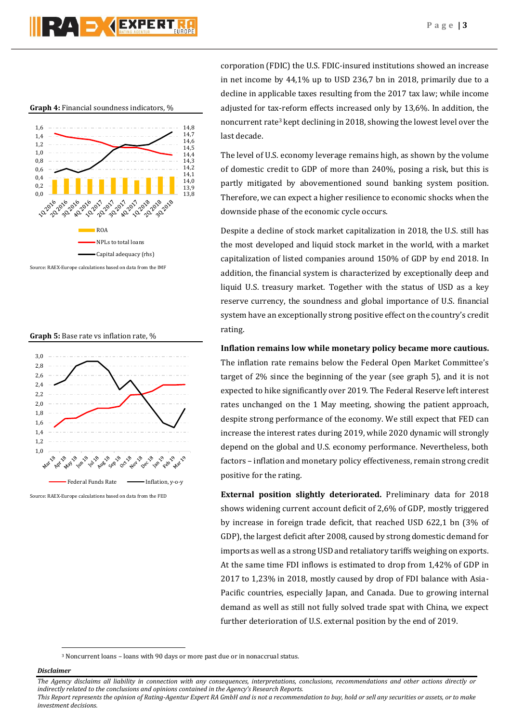

**Graph 4:** Financial soundness indicators, %



Source: RAEX-Europe calculations based on data from the IMF





Source: RAEX-Europe calculations based on data from the FED

corporation (FDIC) the U.S. FDIC-insured institutions showed an increase in net income by 44,1% up to USD 236,7 bn in 2018, primarily due to a decline in applicable taxes resulting from the 2017 tax law; while income adjusted for tax-reform effects increased only by 13,6%. In addition, the noncurrent rate<sup>3</sup> kept declining in 2018, showing the lowest level over the last decade.

The level of U.S. economy leverage remains high, as shown by the volume of domestic credit to GDP of more than 240%, posing a risk, but this is partly mitigated by abovementioned sound banking system position. Therefore, we can expect a higher resilience to economic shocks when the downside phase of the economic cycle occurs.

Despite a decline of stock market capitalization in 2018, the U.S. still has the most developed and liquid stock market in the world, with a market capitalization of listed companies around 150% of GDP by end 2018. In addition, the financial system is characterized by exceptionally deep and liquid U.S. treasury market. Together with the status of USD as a key reserve currency, the soundness and global importance of U.S. financial system have an exceptionally strong positive effect on the country's credit rating.

**Inflation remains low while monetary policy became more cautious.**

The inflation rate remains below the Federal Open Market Committee's target of 2% since the beginning of the year (see graph 5), and it is not expected to hike significantly over 2019. The Federal Reserve left interest rates unchanged on the 1 May meeting, showing the patient approach, despite strong performance of the economy. We still expect that FED can increase the interest rates during 2019, while 2020 dynamic will strongly depend on the global and U.S. economy performance. Nevertheless, both factors – inflation and monetary policy effectiveness, remain strong credit positive for the rating.

**External position slightly deteriorated.** Preliminary data for 2018 shows widening current account deficit of 2,6% of GDP, mostly triggered by increase in foreign trade deficit, that reached USD 622,1 bn (3% of GDP), the largest deficit after 2008, caused by strong domestic demand for imports as well as a strong USD and retaliatory tariffs weighing on exports. At the same time FDI inflows is estimated to drop from 1,42% of GDP in 2017 to 1,23% in 2018, mostly caused by drop of FDI balance with Asia-Pacific countries, especially Japan, and Canada. Due to growing internal demand as well as still not fully solved trade spat with China, we expect further deterioration of U.S. external position by the end of 2019.

<sup>3</sup> Noncurrent loans – loans with 90 days or more past due or in nonaccrual status.

## *Disclaimer*

1

*The Agency disclaims all liability in connection with any consequences, interpretations, conclusions, recommendations and other actions directly or indirectly related to the conclusions and opinions contained in the Agency's Research Reports.*

*This Report represents the opinion of Rating-Agentur Expert RA GmbH and is not a recommendation to buy, hold or sell any securities or assets, or to make investment decisions.*